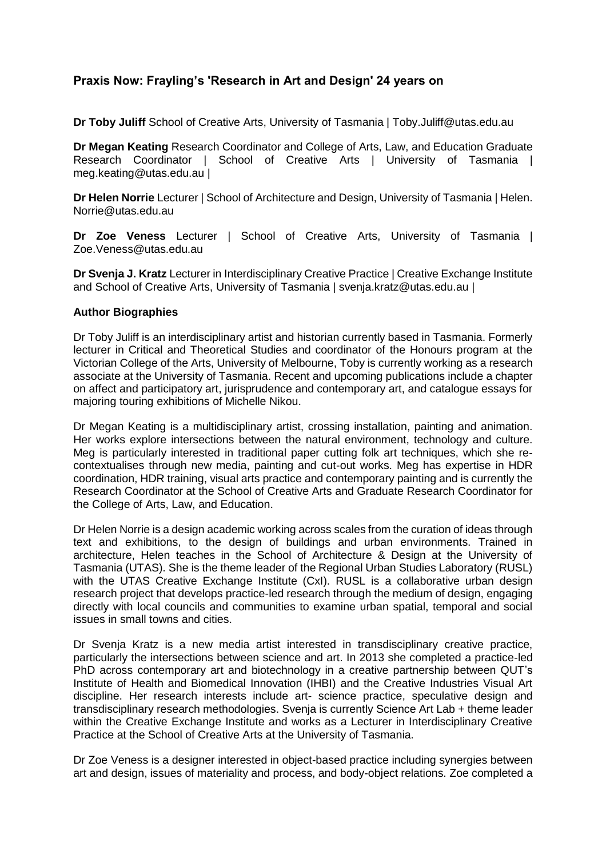# **Praxis Now: Frayling's 'Research in Art and Design' 24 years on**

**Dr Toby Juliff** School of Creative Arts, University of Tasmania | Toby.Juliff@utas.edu.au

**Dr Megan Keating** Research Coordinator and College of Arts, Law, and Education Graduate Research Coordinator | School of Creative Arts | University of Tasmania meg.keating@utas.edu.au |

**Dr Helen Norrie** Lecturer | School of Architecture and Design, University of Tasmania | Helen. Norrie@utas.edu.au

**Dr Zoe Veness** Lecturer | School of Creative Arts, University of Tasmania | Zoe.Veness@utas.edu.au

**Dr Svenja J. Kratz** Lecturer in Interdisciplinary Creative Practice | Creative Exchange Institute and School of Creative Arts, University of Tasmania | svenja.kratz@utas.edu.au |

# **Author Biographies**

Dr Toby Juliff is an interdisciplinary artist and historian currently based in Tasmania. Formerly lecturer in Critical and Theoretical Studies and coordinator of the Honours program at the Victorian College of the Arts, University of Melbourne, Toby is currently working as a research associate at the University of Tasmania. Recent and upcoming publications include a chapter on affect and participatory art, jurisprudence and contemporary art, and catalogue essays for majoring touring exhibitions of Michelle Nikou.

Dr Megan Keating is a multidisciplinary artist, crossing installation, painting and animation. Her works explore intersections between the natural environment, technology and culture. Meg is particularly interested in traditional paper cutting folk art techniques, which she recontextualises through new media, painting and cut-out works. Meg has expertise in HDR coordination, HDR training, visual arts practice and contemporary painting and is currently the Research Coordinator at the School of Creative Arts and Graduate Research Coordinator for the College of Arts, Law, and Education.

Dr Helen Norrie is a design academic working across scales from the curation of ideas through text and exhibitions, to the design of buildings and urban environments. Trained in architecture, Helen teaches in the School of Architecture & Design at the University of Tasmania (UTAS). She is the theme leader of the Regional Urban Studies Laboratory (RUSL) with the UTAS Creative Exchange Institute (CxI). RUSL is a collaborative urban design research project that develops practice-led research through the medium of design, engaging directly with local councils and communities to examine urban spatial, temporal and social issues in small towns and cities.

Dr Svenja Kratz is a new media artist interested in transdisciplinary creative practice, particularly the intersections between science and art. In 2013 she completed a practice-led PhD across contemporary art and biotechnology in a creative partnership between QUT's Institute of Health and Biomedical Innovation (IHBI) and the Creative Industries Visual Art discipline. Her research interests include art- science practice, speculative design and transdisciplinary research methodologies. Svenja is currently Science Art Lab + theme leader within the Creative Exchange Institute and works as a Lecturer in Interdisciplinary Creative Practice at the School of Creative Arts at the University of Tasmania.

Dr Zoe Veness is a designer interested in object-based practice including synergies between art and design, issues of materiality and process, and body-object relations. Zoe completed a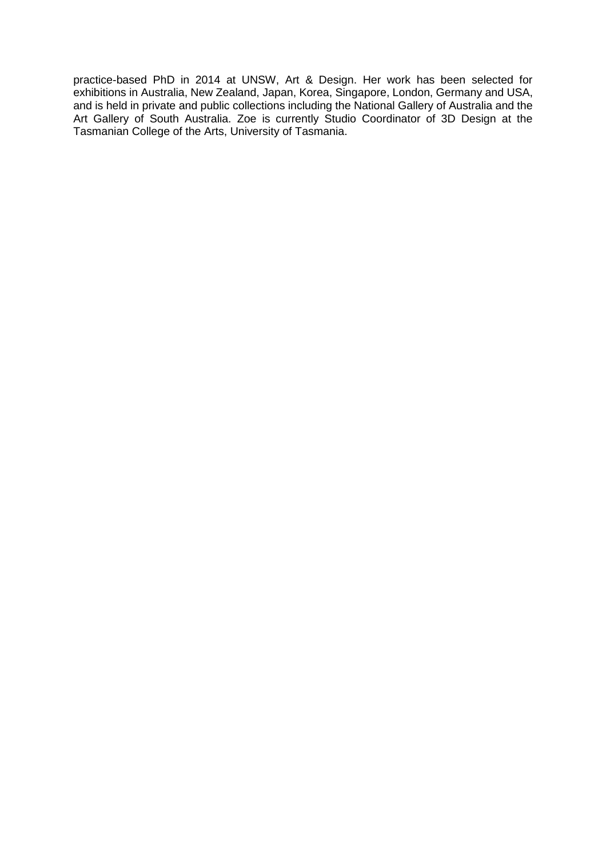practice-based PhD in 2014 at UNSW, Art & Design. Her work has been selected for exhibitions in Australia, New Zealand, Japan, Korea, Singapore, London, Germany and USA, and is held in private and public collections including the National Gallery of Australia and the Art Gallery of South Australia. Zoe is currently Studio Coordinator of 3D Design at the Tasmanian College of the Arts, University of Tasmania.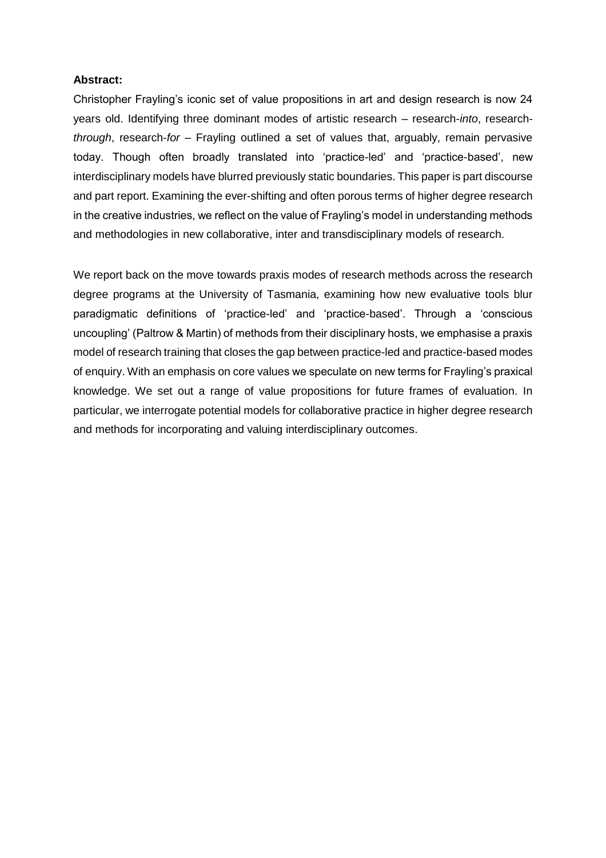#### **Abstract:**

Christopher Frayling's iconic set of value propositions in art and design research is now 24 years old. Identifying three dominant modes of artistic research – research-*into*, research*through*, research-*for* – Frayling outlined a set of values that, arguably, remain pervasive today. Though often broadly translated into 'practice-led' and 'practice-based', new interdisciplinary models have blurred previously static boundaries. This paper is part discourse and part report. Examining the ever-shifting and often porous terms of higher degree research in the creative industries, we reflect on the value of Frayling's model in understanding methods and methodologies in new collaborative, inter and transdisciplinary models of research.

We report back on the move towards praxis modes of research methods across the research degree programs at the University of Tasmania, examining how new evaluative tools blur paradigmatic definitions of 'practice-led' and 'practice-based'. Through a 'conscious uncoupling' (Paltrow & Martin) of methods from their disciplinary hosts, we emphasise a praxis model of research training that closes the gap between practice-led and practice-based modes of enquiry. With an emphasis on core values we speculate on new terms for Frayling's praxical knowledge. We set out a range of value propositions for future frames of evaluation. In particular, we interrogate potential models for collaborative practice in higher degree research and methods for incorporating and valuing interdisciplinary outcomes.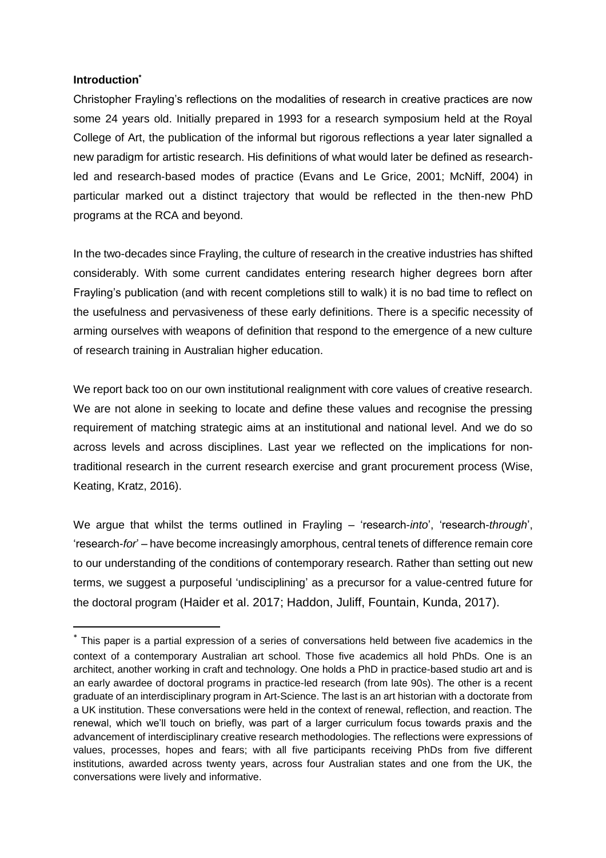## **Introduction\***

l

Christopher Frayling's reflections on the modalities of research in creative practices are now some 24 years old. Initially prepared in 1993 for a research symposium held at the Royal College of Art, the publication of the informal but rigorous reflections a year later signalled a new paradigm for artistic research. His definitions of what would later be defined as researchled and research-based modes of practice (Evans and Le Grice, 2001; McNiff, 2004) in particular marked out a distinct trajectory that would be reflected in the then-new PhD programs at the RCA and beyond.

In the two-decades since Frayling, the culture of research in the creative industries has shifted considerably. With some current candidates entering research higher degrees born after Frayling's publication (and with recent completions still to walk) it is no bad time to reflect on the usefulness and pervasiveness of these early definitions. There is a specific necessity of arming ourselves with weapons of definition that respond to the emergence of a new culture of research training in Australian higher education.

We report back too on our own institutional realignment with core values of creative research. We are not alone in seeking to locate and define these values and recognise the pressing requirement of matching strategic aims at an institutional and national level. And we do so across levels and across disciplines. Last year we reflected on the implications for nontraditional research in the current research exercise and grant procurement process (Wise, Keating, Kratz, 2016).

We argue that whilst the terms outlined in Frayling – 'research-*into*', 'research-*through*', 'research-*for*' – have become increasingly amorphous, central tenets of difference remain core to our understanding of the conditions of contemporary research. Rather than setting out new terms, we suggest a purposeful 'undisciplining' as a precursor for a value-centred future for the doctoral program (Haider et al. 2017; Haddon, Juliff, Fountain, Kunda, 2017).

<sup>\*</sup> This paper is a partial expression of a series of conversations held between five academics in the context of a contemporary Australian art school. Those five academics all hold PhDs. One is an architect, another working in craft and technology. One holds a PhD in practice-based studio art and is an early awardee of doctoral programs in practice-led research (from late 90s). The other is a recent graduate of an interdisciplinary program in Art-Science. The last is an art historian with a doctorate from a UK institution. These conversations were held in the context of renewal, reflection, and reaction. The renewal, which we'll touch on briefly, was part of a larger curriculum focus towards praxis and the advancement of interdisciplinary creative research methodologies. The reflections were expressions of values, processes, hopes and fears; with all five participants receiving PhDs from five different institutions, awarded across twenty years, across four Australian states and one from the UK, the conversations were lively and informative.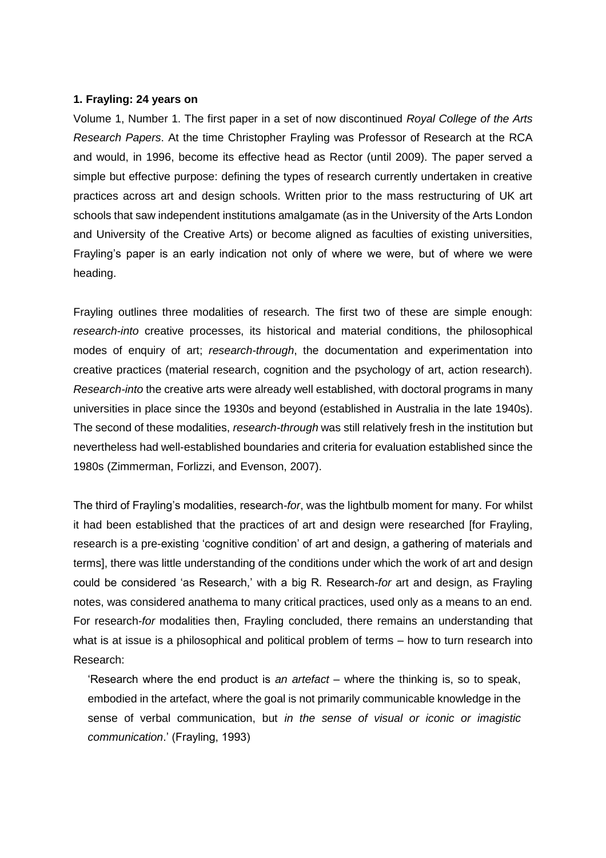#### **1. Frayling: 24 years on**

Volume 1, Number 1. The first paper in a set of now discontinued *Royal College of the Arts Research Papers*. At the time Christopher Frayling was Professor of Research at the RCA and would, in 1996, become its effective head as Rector (until 2009). The paper served a simple but effective purpose: defining the types of research currently undertaken in creative practices across art and design schools. Written prior to the mass restructuring of UK art schools that saw independent institutions amalgamate (as in the University of the Arts London and University of the Creative Arts) or become aligned as faculties of existing universities, Frayling's paper is an early indication not only of where we were, but of where we were heading.

Frayling outlines three modalities of research. The first two of these are simple enough: *research-into* creative processes, its historical and material conditions, the philosophical modes of enquiry of art; *research-through*, the documentation and experimentation into creative practices (material research, cognition and the psychology of art, action research). *Research-into* the creative arts were already well established, with doctoral programs in many universities in place since the 1930s and beyond (established in Australia in the late 1940s). The second of these modalities, *research-through* was still relatively fresh in the institution but nevertheless had well-established boundaries and criteria for evaluation established since the 1980s (Zimmerman, Forlizzi, and Evenson, 2007).

The third of Frayling's modalities, research-*for*, was the lightbulb moment for many. For whilst it had been established that the practices of art and design were researched [for Frayling, research is a pre-existing 'cognitive condition' of art and design, a gathering of materials and terms], there was little understanding of the conditions under which the work of art and design could be considered 'as Research,' with a big R. Research-*for* art and design, as Frayling notes, was considered anathema to many critical practices, used only as a means to an end. For research-*for* modalities then, Frayling concluded, there remains an understanding that what is at issue is a philosophical and political problem of terms – how to turn research into Research:

'Research where the end product is *an artefact* – where the thinking is, so to speak, embodied in the artefact, where the goal is not primarily communicable knowledge in the sense of verbal communication, but *in the sense of visual or iconic or imagistic communication*.' (Frayling, 1993)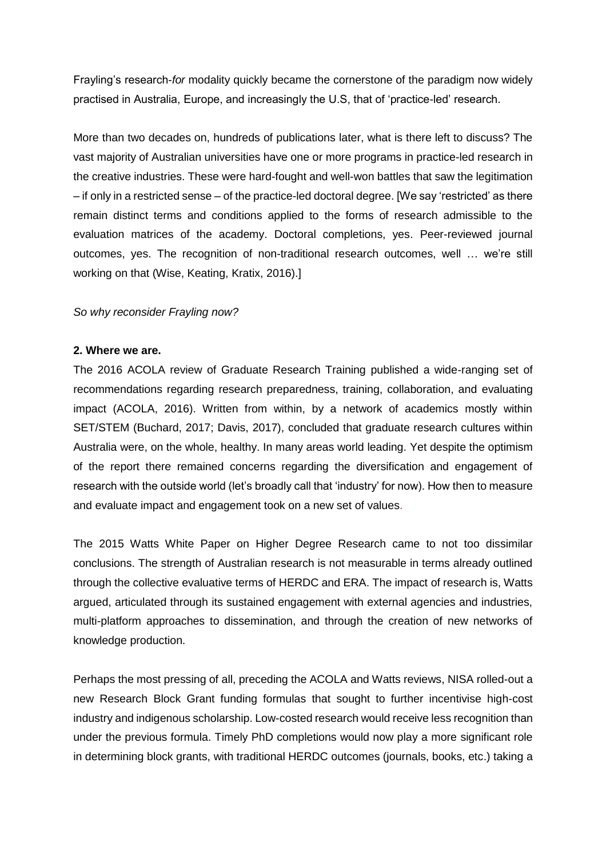Frayling's research-*for* modality quickly became the cornerstone of the paradigm now widely practised in Australia, Europe, and increasingly the U.S, that of 'practice-led' research.

More than two decades on, hundreds of publications later, what is there left to discuss? The vast majority of Australian universities have one or more programs in practice-led research in the creative industries. These were hard-fought and well-won battles that saw the legitimation – if only in a restricted sense – of the practice-led doctoral degree. [We say 'restricted' as there remain distinct terms and conditions applied to the forms of research admissible to the evaluation matrices of the academy. Doctoral completions, yes. Peer-reviewed journal outcomes, yes. The recognition of non-traditional research outcomes, well … we're still working on that (Wise, Keating, Kratix, 2016).]

### *So why reconsider Frayling now?*

#### **2. Where we are.**

The 2016 ACOLA review of Graduate Research Training published a wide-ranging set of recommendations regarding research preparedness, training, collaboration, and evaluating impact (ACOLA, 2016). Written from within, by a network of academics mostly within SET/STEM (Buchard, 2017; Davis, 2017), concluded that graduate research cultures within Australia were, on the whole, healthy. In many areas world leading. Yet despite the optimism of the report there remained concerns regarding the diversification and engagement of research with the outside world (let's broadly call that 'industry' for now). How then to measure and evaluate impact and engagement took on a new set of values.

The 2015 Watts White Paper on Higher Degree Research came to not too dissimilar conclusions. The strength of Australian research is not measurable in terms already outlined through the collective evaluative terms of HERDC and ERA. The impact of research is, Watts argued, articulated through its sustained engagement with external agencies and industries, multi-platform approaches to dissemination, and through the creation of new networks of knowledge production.

Perhaps the most pressing of all, preceding the ACOLA and Watts reviews, NISA rolled-out a new Research Block Grant funding formulas that sought to further incentivise high-cost industry and indigenous scholarship. Low-costed research would receive less recognition than under the previous formula. Timely PhD completions would now play a more significant role in determining block grants, with traditional HERDC outcomes (journals, books, etc.) taking a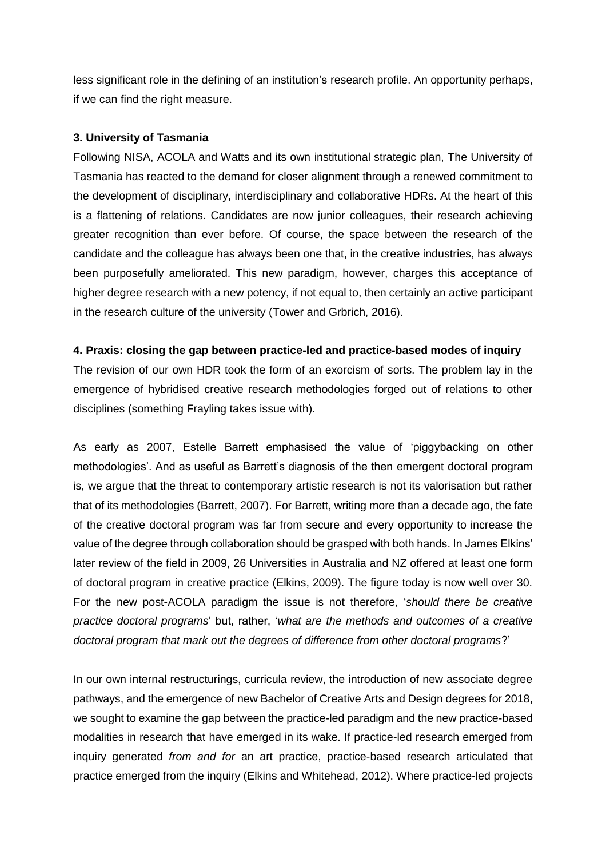less significant role in the defining of an institution's research profile. An opportunity perhaps, if we can find the right measure.

#### **3. University of Tasmania**

Following NISA, ACOLA and Watts and its own institutional strategic plan, The University of Tasmania has reacted to the demand for closer alignment through a renewed commitment to the development of disciplinary, interdisciplinary and collaborative HDRs. At the heart of this is a flattening of relations. Candidates are now junior colleagues, their research achieving greater recognition than ever before. Of course, the space between the research of the candidate and the colleague has always been one that, in the creative industries, has always been purposefully ameliorated. This new paradigm, however, charges this acceptance of higher degree research with a new potency, if not equal to, then certainly an active participant in the research culture of the university (Tower and Grbrich, 2016).

#### **4. Praxis: closing the gap between practice-led and practice-based modes of inquiry**

The revision of our own HDR took the form of an exorcism of sorts. The problem lay in the emergence of hybridised creative research methodologies forged out of relations to other disciplines (something Frayling takes issue with).

As early as 2007, Estelle Barrett emphasised the value of 'piggybacking on other methodologies'. And as useful as Barrett's diagnosis of the then emergent doctoral program is, we argue that the threat to contemporary artistic research is not its valorisation but rather that of its methodologies (Barrett, 2007). For Barrett, writing more than a decade ago, the fate of the creative doctoral program was far from secure and every opportunity to increase the value of the degree through collaboration should be grasped with both hands. In James Elkins' later review of the field in 2009, 26 Universities in Australia and NZ offered at least one form of doctoral program in creative practice (Elkins, 2009). The figure today is now well over 30. For the new post-ACOLA paradigm the issue is not therefore, '*should there be creative practice doctoral programs*' but, rather, '*what are the methods and outcomes of a creative doctoral program that mark out the degrees of difference from other doctoral programs*?'

In our own internal restructurings, curricula review, the introduction of new associate degree pathways, and the emergence of new Bachelor of Creative Arts and Design degrees for 2018, we sought to examine the gap between the practice-led paradigm and the new practice-based modalities in research that have emerged in its wake. If practice-led research emerged from inquiry generated *from and for* an art practice, practice-based research articulated that practice emerged from the inquiry (Elkins and Whitehead, 2012). Where practice-led projects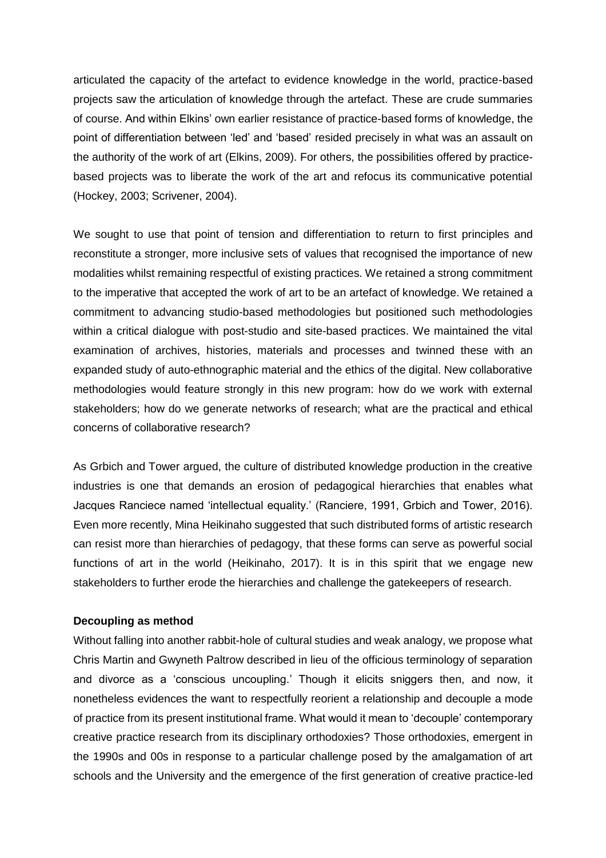articulated the capacity of the artefact to evidence knowledge in the world, practice-based projects saw the articulation of knowledge through the artefact. These are crude summaries of course. And within Elkins' own earlier resistance of practice-based forms of knowledge, the point of differentiation between 'led' and 'based' resided precisely in what was an assault on the authority of the work of art (Elkins, 2009). For others, the possibilities offered by practicebased projects was to liberate the work of the art and refocus its communicative potential (Hockey, 2003; Scrivener, 2004).

We sought to use that point of tension and differentiation to return to first principles and reconstitute a stronger, more inclusive sets of values that recognised the importance of new modalities whilst remaining respectful of existing practices. We retained a strong commitment to the imperative that accepted the work of art to be an artefact of knowledge. We retained a commitment to advancing studio-based methodologies but positioned such methodologies within a critical dialogue with post-studio and site-based practices. We maintained the vital examination of archives, histories, materials and processes and twinned these with an expanded study of auto-ethnographic material and the ethics of the digital. New collaborative methodologies would feature strongly in this new program: how do we work with external stakeholders; how do we generate networks of research; what are the practical and ethical concerns of collaborative research?

As Grbich and Tower argued, the culture of distributed knowledge production in the creative industries is one that demands an erosion of pedagogical hierarchies that enables what Jacques Ranciece named 'intellectual equality.' (Ranciere, 1991, Grbich and Tower, 2016). Even more recently, Mina Heikinaho suggested that such distributed forms of artistic research can resist more than hierarchies of pedagogy, that these forms can serve as powerful social functions of art in the world (Heikinaho, 2017). It is in this spirit that we engage new stakeholders to further erode the hierarchies and challenge the gatekeepers of research.

### **Decoupling as method**

Without falling into another rabbit-hole of cultural studies and weak analogy, we propose what Chris Martin and Gwyneth Paltrow described in lieu of the officious terminology of separation and divorce as a 'conscious uncoupling.' Though it elicits sniggers then, and now, it nonetheless evidences the want to respectfully reorient a relationship and decouple a mode of practice from its present institutional frame. What would it mean to 'decouple' contemporary creative practice research from its disciplinary orthodoxies? Those orthodoxies, emergent in the 1990s and 00s in response to a particular challenge posed by the amalgamation of art schools and the University and the emergence of the first generation of creative practice-led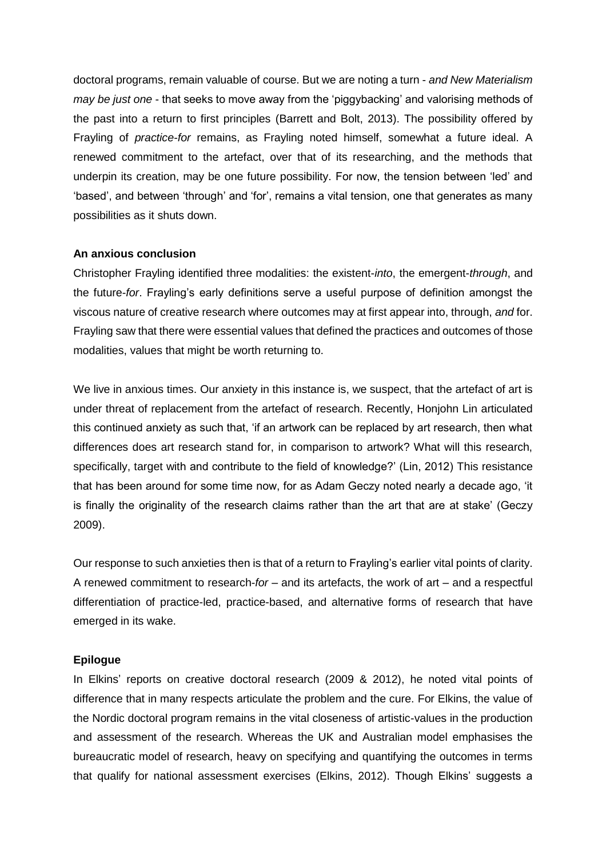doctoral programs, remain valuable of course. But we are noting a turn - *and New Materialism may be just one* - that seeks to move away from the 'piggybacking' and valorising methods of the past into a return to first principles (Barrett and Bolt, 2013). The possibility offered by Frayling of *practice-for* remains, as Frayling noted himself, somewhat a future ideal. A renewed commitment to the artefact, over that of its researching, and the methods that underpin its creation, may be one future possibility. For now, the tension between 'led' and 'based', and between 'through' and 'for', remains a vital tension, one that generates as many possibilities as it shuts down.

#### **An anxious conclusion**

Christopher Frayling identified three modalities: the existent-*into*, the emergent-*through*, and the future-*for*. Frayling's early definitions serve a useful purpose of definition amongst the viscous nature of creative research where outcomes may at first appear into, through, *and* for. Frayling saw that there were essential values that defined the practices and outcomes of those modalities, values that might be worth returning to.

We live in anxious times. Our anxiety in this instance is, we suspect, that the artefact of art is under threat of replacement from the artefact of research. Recently, Honjohn Lin articulated this continued anxiety as such that, 'if an artwork can be replaced by art research, then what differences does art research stand for, in comparison to artwork? What will this research, specifically, target with and contribute to the field of knowledge?' (Lin, 2012) This resistance that has been around for some time now, for as Adam Geczy noted nearly a decade ago, 'it is finally the originality of the research claims rather than the art that are at stake' (Geczy 2009).

Our response to such anxieties then is that of a return to Frayling's earlier vital points of clarity. A renewed commitment to research-*for –* and its artefacts, the work of art – and a respectful differentiation of practice-led, practice-based, and alternative forms of research that have emerged in its wake.

#### **Epilogue**

In Elkins' reports on creative doctoral research (2009 & 2012), he noted vital points of difference that in many respects articulate the problem and the cure. For Elkins, the value of the Nordic doctoral program remains in the vital closeness of artistic-values in the production and assessment of the research. Whereas the UK and Australian model emphasises the bureaucratic model of research, heavy on specifying and quantifying the outcomes in terms that qualify for national assessment exercises (Elkins, 2012). Though Elkins' suggests a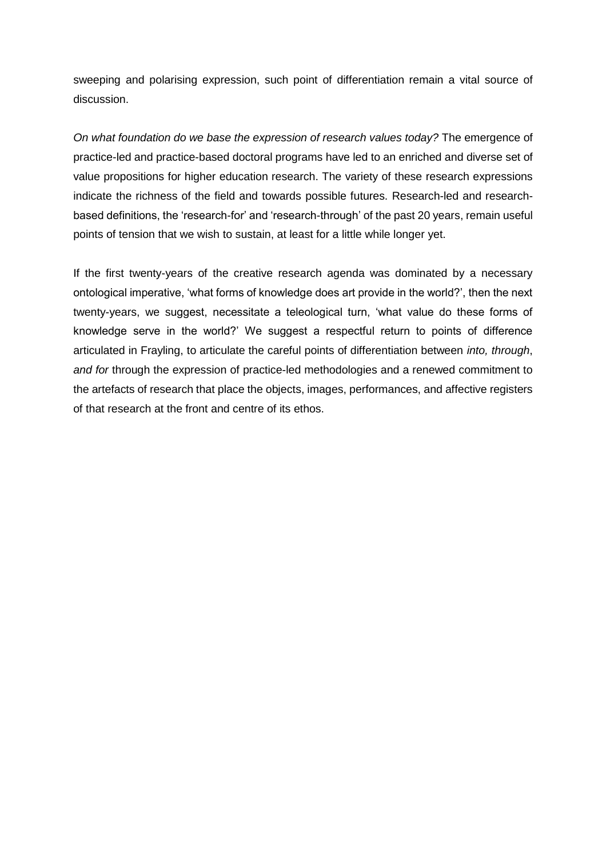sweeping and polarising expression, such point of differentiation remain a vital source of discussion.

*On what foundation do we base the expression of research values today?* The emergence of practice-led and practice-based doctoral programs have led to an enriched and diverse set of value propositions for higher education research. The variety of these research expressions indicate the richness of the field and towards possible futures. Research-led and researchbased definitions, the 'research-for' and 'research-through' of the past 20 years, remain useful points of tension that we wish to sustain, at least for a little while longer yet.

If the first twenty-years of the creative research agenda was dominated by a necessary ontological imperative, 'what forms of knowledge does art provide in the world?', then the next twenty-years, we suggest, necessitate a teleological turn, 'what value do these forms of knowledge serve in the world?' We suggest a respectful return to points of difference articulated in Frayling, to articulate the careful points of differentiation between *into, through*, *and for* through the expression of practice-led methodologies and a renewed commitment to the artefacts of research that place the objects, images, performances, and affective registers of that research at the front and centre of its ethos.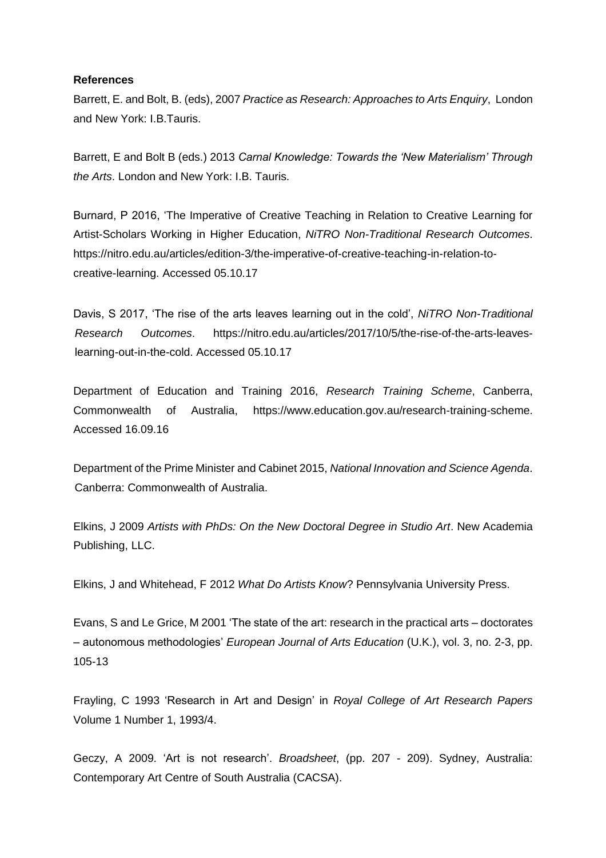### **References**

Barrett, E. and Bolt, B. (eds), 2007 *Practice as Research: Approaches to Arts Enquiry*, London and New York: I.B.Tauris.

Barrett, E and Bolt B (eds.) 2013 *Carnal Knowledge: Towards the 'New Materialism' Through the Arts*. London and New York: I.B. Tauris.

Burnard, P 2016, ['The Imperative of Creative Teaching in Relation to Creative Learning for](https://nitro.edu.au/articles/edition-3/the-imperative-of-creative-teaching-in-relation-to-creative-learning)  [Artist-Scholars Working in Higher Education,](https://nitro.edu.au/articles/edition-3/the-imperative-of-creative-teaching-in-relation-to-creative-learning) *NiTRO Non-Traditional Research Outcomes*. https://nitro.edu.au/articles/edition-3/the-imperative-of-creative-teaching-in-relation-tocreative-learning. Accessed 05.10.17

Davis, S 2017, 'The rise of the arts leaves learning out in the cold', *NiTRO Non-Traditional Research Outcomes*. https://nitro.edu.au/articles/2017/10/5/the-rise-of-the-arts-leaveslearning-out-in-the-cold. Accessed 05.10.17

Department of Education and Training 2016, *Research Training Scheme*, Canberra, Commonwealth of Australia, https://www.education.gov.au/research-training-scheme. Accessed 16.09.16

Department of the Prime Minister and Cabinet 2015, *National Innovation and Science Agenda*. Canberra: Commonwealth of Australia.

Elkins, J 2009 *Artists with PhDs: On the New Doctoral Degree in Studio Art*. New Academia Publishing, LLC.

Elkins, J and Whitehead, F 2012 *What Do Artists Know*? Pennsylvania University Press.

Evans, S and Le Grice, M 2001 'The state of the art: research in the practical arts – doctorates – autonomous methodologies' *European Journal of Arts Education* (U.K.), vol. 3, no. 2-3, pp. 105-13

Frayling, C 1993 'Research in Art and Design' in *Royal College of Art Research Papers*  Volume 1 Number 1, 1993/4.

Geczy, A 2009. 'Art is not research'. *Broadsheet*, (pp. 207 - 209). Sydney, Australia: Contemporary Art Centre of South Australia (CACSA).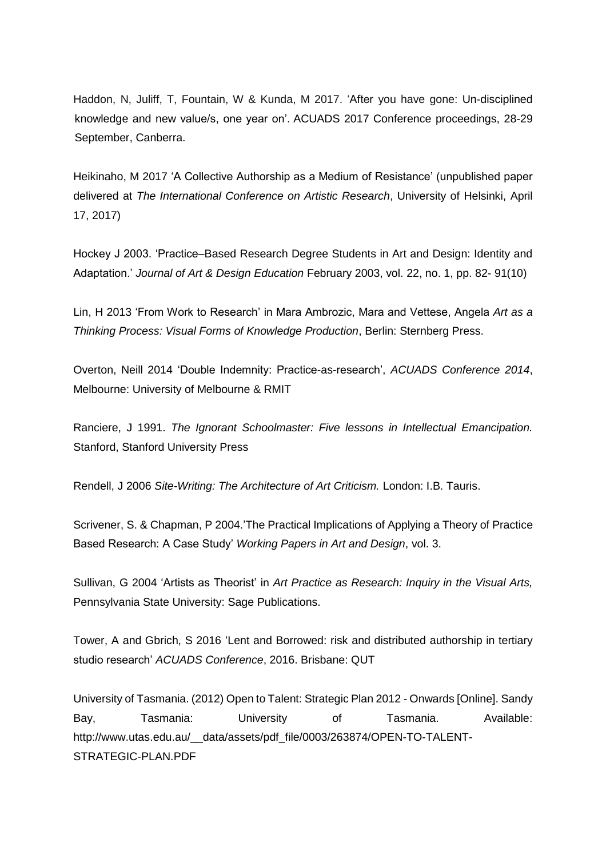Haddon, N, Juliff, T, Fountain, W & Kunda, M 2017. 'After you have gone: Un-disciplined knowledge and new value/s, one year on'. ACUADS 2017 Conference proceedings, 28-29 September, Canberra.

Heikinaho, M 2017 'A Collective Authorship as a Medium of Resistance' (unpublished paper delivered at *The International Conference on Artistic Research*, University of Helsinki, April 17, 2017)

Hockey J 2003. 'Practice–Based Research Degree Students in Art and Design: Identity and Adaptation.' *Journal of Art & Design Education* February 2003, vol. 22, no. 1, pp. 82- 91(10)

Lin, H 2013 'From Work to Research' in Mara Ambrozic, Mara and Vettese, Angela *Art as a Thinking Process: Visual Forms of Knowledge Production*, Berlin: Sternberg Press.

Overton, Neill 2014 'Double Indemnity: Practice-as-research', *ACUADS Conference 2014*, Melbourne: University of Melbourne & RMIT

Ranciere, J 1991. *The Ignorant Schoolmaster: Five lessons in Intellectual Emancipation.* Stanford, Stanford University Press

Rendell, J 2006 *Site-Writing: The Architecture of Art Criticism.* London: I.B. Tauris.

Scrivener, S. & Chapman, P 2004.'The Practical Implications of Applying a Theory of Practice Based Research: A Case Study' *Working Papers in Art and Design*, vol. 3.

Sullivan, G 2004 'Artists as Theorist' in *Art Practice as Research: Inquiry in the Visual Arts,*  Pennsylvania State University: Sage Publications.

Tower, A and Gbrich, S 2016 'Lent and Borrowed: risk and distributed authorship in tertiary studio research' *ACUADS Conference*, 2016. Brisbane: QUT

University of Tasmania. (2012) Open to Talent: Strategic Plan 2012 - Onwards [Online]. Sandy Bay, Tasmania: University of Tasmania. Available: http://www.utas.edu.au/\_\_data/assets/pdf\_file/0003/263874/OPEN-TO-TALENT-STRATEGIC-PLAN.PDF